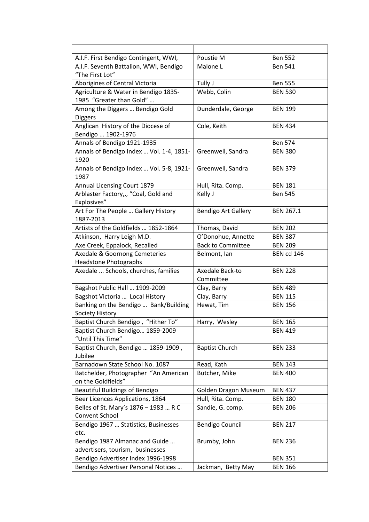| A.I.F. First Bendigo Contingent, WWI,                              | Poustie M                    | <b>Ben 552</b>    |
|--------------------------------------------------------------------|------------------------------|-------------------|
| A.I.F. Seventh Battalion, WWI, Bendigo<br>"The First Lot"          | Malone L                     | <b>Ben 541</b>    |
| Aborigines of Central Victoria                                     | Tully J                      | <b>Ben 555</b>    |
| Agriculture & Water in Bendigo 1835-<br>1985 "Greater than Gold"   | Webb, Colin                  | <b>BEN 530</b>    |
| Among the Diggers  Bendigo Gold<br><b>Diggers</b>                  | Dunderdale, George           | <b>BEN 199</b>    |
| Anglican History of the Diocese of<br>Bendigo  1902-1976           | Cole, Keith                  | <b>BEN 434</b>    |
| Annals of Bendigo 1921-1935                                        |                              | <b>Ben 574</b>    |
| Annals of Bendigo Index  Vol. 1-4, 1851-<br>1920                   | Greenwell, Sandra            | <b>BEN 380</b>    |
| Annals of Bendigo Index  Vol. 5-8, 1921-<br>1987                   | Greenwell, Sandra            | <b>BEN 379</b>    |
| Annual Licensing Court 1879                                        | Hull, Rita. Comp.            | <b>BEN 181</b>    |
| Arblaster Factory,,, "Coal, Gold and<br>Explosives"                | Kelly J                      | <b>Ben 545</b>    |
| Art For The People  Gallery History<br>1887-2013                   | <b>Bendigo Art Gallery</b>   | <b>BEN 267.1</b>  |
| Artists of the Goldfields  1852-1864                               | Thomas, David                | <b>BEN 202</b>    |
| Atkinson, Harry Leigh M.D.                                         | O'Donohue, Annette           | <b>BEN 387</b>    |
| Axe Creek, Eppalock, Recalled                                      | <b>Back to Committee</b>     | <b>BEN 209</b>    |
| Axedale & Goornong Cemeteries                                      | Belmont, Ian                 | <b>BEN cd 146</b> |
| <b>Headstone Photographs</b>                                       |                              |                   |
| Axedale  Schools, churches, families                               | Axedale Back-to<br>Committee | <b>BEN 228</b>    |
| Bagshot Public Hall  1909-2009                                     | Clay, Barry                  | <b>BEN 489</b>    |
| Bagshot Victoria  Local History                                    | Clay, Barry                  | <b>BEN 115</b>    |
| Banking on the Bendigo  Bank/Building<br>Society History           | Hewat, Tim                   | <b>BEN 156</b>    |
| Baptist Church Bendigo, "Hither To"                                | Harry, Wesley                | <b>BEN 165</b>    |
| Baptist Church Bendigo 1859-2009<br>"Until This Time"              |                              | <b>BEN 419</b>    |
| Baptist Church, Bendigo  1859-1909,<br>Jubilee                     | <b>Baptist Church</b>        | <b>BEN 233</b>    |
| Barnadown State School No. 1087                                    | Read, Kath                   | <b>BEN 143</b>    |
| Batchelder, Photographer "An American<br>on the Goldfields"        | Butcher, Mike                | <b>BEN 400</b>    |
| <b>Beautiful Buildings of Bendigo</b>                              | Golden Dragon Museum         | <b>BEN 437</b>    |
| Beer Licences Applications, 1864                                   | Hull, Rita. Comp.            | <b>BEN 180</b>    |
| Belles of St. Mary's 1876 - 1983  R C<br>Convent School            | Sandie, G. comp.             | <b>BEN 206</b>    |
| Bendigo 1967  Statistics, Businesses<br>etc.                       | <b>Bendigo Council</b>       | <b>BEN 217</b>    |
| Bendigo 1987 Almanac and Guide<br>advertisers, tourism, businesses | Brumby, John                 | <b>BEN 236</b>    |
| Bendigo Advertiser Index 1996-1998                                 |                              | <b>BEN 351</b>    |
| Bendigo Advertiser Personal Notices                                | Jackman, Betty May           | <b>BEN 166</b>    |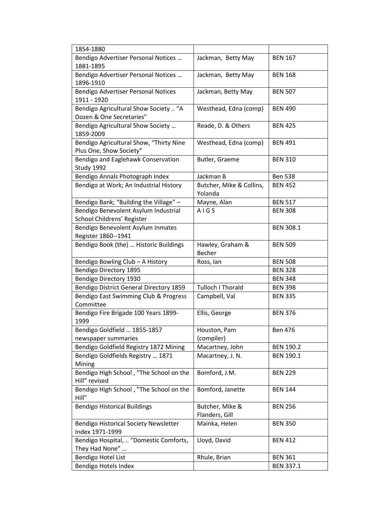| 1854-1880                                                          |                                     |                  |
|--------------------------------------------------------------------|-------------------------------------|------------------|
| Bendigo Advertiser Personal Notices<br>1881-1895                   | Jackman, Betty May                  | <b>BEN 167</b>   |
| Bendigo Advertiser Personal Notices<br>1896-1910                   | Jackman, Betty May                  | <b>BEN 168</b>   |
| Bendigo Advertiser Personal Notices<br>1911 - 1920                 | Jackman, Betty May                  | <b>BEN 507</b>   |
| Bendigo Agricultural Show Society  "A<br>Dozen & One Secretaries"  | Westhead, Edna (comp)               | <b>BEN 490</b>   |
| Bendigo Agricultural Show Society<br>1859-2009                     | Reade, D. & Others                  | <b>BEN 425</b>   |
| Bendigo Agricultural Show, "Thirty Nine<br>Plus One, Show Society" | Westhead, Edna (comp)               | <b>BEN 491</b>   |
| Bendigo and Eaglehawk Conservation<br>Study 1992                   | Butler, Graeme                      | <b>BEN 310</b>   |
| Bendigo Annals Photograph Index                                    | Jackman B                           | <b>Ben 538</b>   |
| Bendigo at Work; An Industrial History                             | Butcher, Mike & Collins,<br>Yolanda | <b>BEN 452</b>   |
| Bendigo Bank; "Building the Village" -                             | Mayne, Alan                         | <b>BEN 517</b>   |
| Bendigo Benevolent Asylum Industrial<br>School Childrens' Register | AIGS                                | <b>BEN 308</b>   |
| Bendigo Benevolent Asylum Inmates<br>Register 1860--1941           |                                     | <b>BEN 308.1</b> |
| Bendigo Book (the)  Historic Buildings                             | Hawley, Graham &<br>Becher          | <b>BEN 509</b>   |
| Bendigo Bowling Club - A History                                   | Ross, lan                           | <b>BEN 508</b>   |
| <b>Bendigo Directory 1895</b>                                      |                                     | <b>BEN 328</b>   |
| Bendigo Directory 1930                                             |                                     | <b>BEN 348</b>   |
| Bendigo District General Directory 1859                            | Tulloch I Thorald                   | <b>BEN 398</b>   |
| Bendigo East Swimming Club & Progress<br>Committee                 | Campbell, Val                       | <b>BEN 335</b>   |
| Bendigo Fire Brigade 100 Years 1899-<br>1999                       | Ellis, George                       | <b>BEN 376</b>   |
| Bendigo Goldfield  1855-1857<br>newspaper summaries                | Houston, Pam<br>(compiler)          | <b>Ben 476</b>   |
| Bendigo Goldfield Registry 1872 Mining                             | Macartney, John                     | <b>BEN 190.2</b> |
| Bendigo Goldfields Registry  1871<br>Mining                        | Macartney, J. N.                    | <b>BEN 190.1</b> |
| Bendigo High School, "The School on the<br>Hill" revised           | Bomford, J.M.                       | <b>BEN 229</b>   |
| Bendigo High School, "The School on the<br>Hill"                   | Bomford, Janette                    | <b>BEN 144</b>   |
| <b>Bendigo Historical Buildings</b>                                | Butcher, Mike &<br>Flanders, Gill   | <b>BEN 256</b>   |
| Bendigo Historical Society Newsletter                              |                                     | <b>BEN 350</b>   |
| Index 1971-1999                                                    | Mainka, Helen                       |                  |
| Bendigo Hospital,  "Domestic Comforts,<br>They Had None"           | Lloyd, David                        | <b>BEN 412</b>   |
| Bendigo Hotel List                                                 | Rhule, Brian                        | <b>BEN 361</b>   |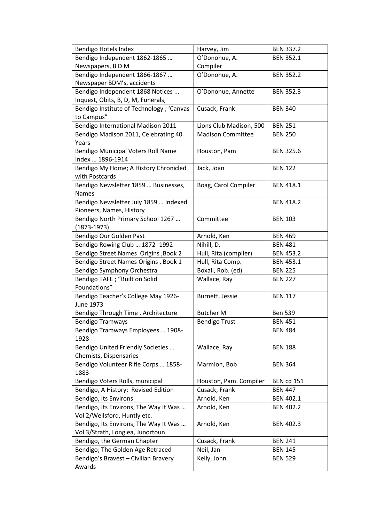| Bendigo Hotels Index                      | Harvey, Jim              | <b>BEN 337.2</b>  |
|-------------------------------------------|--------------------------|-------------------|
| Bendigo Independent 1862-1865             | O'Donohue, A.            | <b>BEN 352.1</b>  |
| Newspapers, BD M                          | Compiler                 |                   |
| Bendigo Independent 1866-1867             | O'Donohue, A.            | <b>BEN 352.2</b>  |
| Newspaper BDM's, accidents                |                          |                   |
| Bendigo Independent 1868 Notices          | O'Donohue, Annette       | <b>BEN 352.3</b>  |
| Inquest, Obits, B, D, M, Funerals,        |                          |                   |
| Bendigo Institute of Technology ; 'Canvas | Cusack, Frank            | <b>BEN 340</b>    |
| to Campus"                                |                          |                   |
| Bendigo International Madison 2011        | Lions Club Madison, 500  | <b>BEN 251</b>    |
| Bendigo Madison 2011, Celebrating 40      | <b>Madison Committee</b> | <b>BEN 250</b>    |
| Years                                     |                          |                   |
| Bendigo Municipal Voters Roll Name        | Houston, Pam             | <b>BEN 325.6</b>  |
| Index  1896-1914                          |                          |                   |
| Bendigo My Home; A History Chronicled     | Jack, Joan               | <b>BEN 122</b>    |
| with Postcards                            |                          |                   |
| Bendigo Newsletter 1859  Businesses,      | Boag, Carol Compiler     | <b>BEN 418.1</b>  |
| <b>Names</b>                              |                          |                   |
| Bendigo Newsletter July 1859  Indexed     |                          | <b>BEN 418.2</b>  |
| Pioneers, Names, History                  |                          |                   |
| Bendigo North Primary School 1267         | Committee                | <b>BEN 103</b>    |
| $(1873 - 1973)$                           |                          |                   |
| Bendigo Our Golden Past                   | Arnold, Ken              | <b>BEN 469</b>    |
| Bendigo Rowing Club  1872 -1992           | Nihill, D.               | <b>BEN 481</b>    |
| Bendigo Street Names Origins , Book 2     | Hull, Rita (compiler)    | <b>BEN 453.2</b>  |
| Bendigo Street Names Origins, Book 1      | Hull, Rita Comp.         | <b>BEN 453.1</b>  |
| Bendigo Symphony Orchestra                | Boxall, Rob. (ed)        | <b>BEN 225</b>    |
| Bendigo TAFE ; "Built on Solid            | Wallace, Ray             | <b>BEN 227</b>    |
| Foundations"                              |                          |                   |
| Bendigo Teacher's College May 1926-       | Burnett, Jessie          | <b>BEN 117</b>    |
| <b>June 1973</b>                          |                          |                   |
| Bendigo Through Time . Architecture       | <b>Butcher M</b>         | <b>Ben 539</b>    |
| <b>Bendigo Tramways</b>                   | <b>Bendigo Trust</b>     | <b>BEN 451</b>    |
| Bendigo Tramways Employees  1908-         |                          | <b>BEN 484</b>    |
| 1928                                      |                          |                   |
| Bendigo United Friendly Societies         | Wallace, Ray             | <b>BEN 188</b>    |
| Chemists, Dispensaries                    |                          |                   |
| Bendigo Volunteer Rifle Corps  1858-      | Marmion, Bob             | <b>BEN 364</b>    |
| 1883                                      |                          |                   |
| Bendigo Voters Rolls, municipal           | Houston, Pam. Compiler   | <b>BEN cd 151</b> |
| Bendigo, A History: Revised Edition       | Cusack, Frank            | <b>BEN 447</b>    |
| Bendigo, Its Environs                     | Arnold, Ken              | <b>BEN 402.1</b>  |
| Bendigo, Its Environs, The Way It Was     | Arnold, Ken              | <b>BEN 402.2</b>  |
| Vol 2/Wellsford, Huntly etc.              |                          |                   |
| Bendigo, Its Environs, The Way It Was     | Arnold, Ken              | <b>BEN 402.3</b>  |
| Vol 3/Strath, Longlea, Junortoun          |                          |                   |
| Bendigo, the German Chapter               | Cusack, Frank            | <b>BEN 241</b>    |
| Bendigo; The Golden Age Retraced          | Neil, Jan                | <b>BEN 145</b>    |
| Bendigo's Bravest - Civilian Bravery      | Kelly, John              | <b>BEN 529</b>    |
| Awards                                    |                          |                   |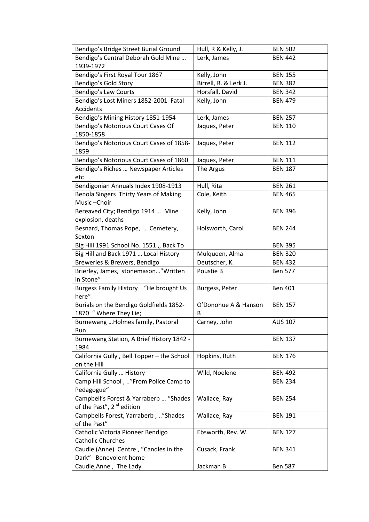| Bendigo's Bridge Street Burial Ground            | Hull, R & Kelly, J.   | <b>BEN 502</b> |
|--------------------------------------------------|-----------------------|----------------|
| Bendigo's Central Deborah Gold Mine              | Lerk, James           | <b>BEN 442</b> |
| 1939-1972                                        |                       |                |
| Bendigo's First Royal Tour 1867                  | Kelly, John           | <b>BEN 155</b> |
| Bendigo's Gold Story                             | Birrell, R. & Lerk J. | <b>BEN 382</b> |
| Bendigo's Law Courts                             | Horsfall, David       | <b>BEN 342</b> |
| Bendigo's Lost Miners 1852-2001 Fatal            | Kelly, John           | <b>BEN 479</b> |
| Accidents                                        |                       |                |
| Bendigo's Mining History 1851-1954               | Lerk, James           | <b>BEN 257</b> |
| Bendigo's Notorious Court Cases Of               | Jaques, Peter         | <b>BEN 110</b> |
| 1850-1858                                        |                       |                |
| Bendigo's Notorious Court Cases of 1858-         | Jaques, Peter         | <b>BEN 112</b> |
| 1859                                             |                       |                |
| Bendigo's Notorious Court Cases of 1860          | Jaques, Peter         | <b>BEN 111</b> |
| Bendigo's Riches  Newspaper Articles             | The Argus             | <b>BEN 187</b> |
| etc                                              |                       |                |
| Bendigonian Annuals Index 1908-1913              | Hull, Rita            | <b>BEN 261</b> |
| Benola Singers Thirty Years of Making            | Cole, Keith           | <b>BEN 465</b> |
| Music-Choir                                      |                       |                |
| Bereaved City; Bendigo 1914  Mine                | Kelly, John           | <b>BEN 396</b> |
| explosion, deaths                                |                       |                |
| Besnard, Thomas Pope,  Cemetery,                 | Holsworth, Carol      | <b>BEN 244</b> |
| Sexton                                           |                       |                |
| Big Hill 1991 School No. 1551 ,, Back To         |                       | <b>BEN 395</b> |
| Big Hill and Back 1971  Local History            | Mulqueen, Alma        | <b>BEN 320</b> |
| Breweries & Brewers, Bendigo                     | Deutscher, K.         | <b>BEN 432</b> |
| Brierley, James, stonemason"Written              | Poustie B             | <b>Ben 577</b> |
| in Stone"                                        |                       |                |
| Burgess Family History "He brought Us            | Burgess, Peter        | <b>Ben 401</b> |
| here"<br>Burials on the Bendigo Goldfields 1852- | O'Donohue A & Hanson  |                |
| 1870 "Where They Lie;                            | B                     | <b>BEN 157</b> |
| Burnewang  Holmes family, Pastoral               | Carney, John          | AUS 107        |
| Run                                              |                       |                |
| Burnewang Station, A Brief History 1842 -        |                       | <b>BEN 137</b> |
| 1984                                             |                       |                |
| California Gully, Bell Topper - the School       | Hopkins, Ruth         | <b>BEN 176</b> |
| on the Hill                                      |                       |                |
| California Gully  History                        | Wild, Noelene         | <b>BEN 492</b> |
| Camp Hill School, "From Police Camp to           |                       | <b>BEN 234</b> |
| Pedagogue"                                       |                       |                |
| Campbell's Forest & Yarraberb  "Shades           | Wallace, Ray          | <b>BEN 254</b> |
| of the Past", 2 <sup>nd</sup> edition            |                       |                |
| Campbells Forest, Yarraberb, "Shades             | Wallace, Ray          | <b>BEN 191</b> |
| of the Past"                                     |                       |                |
| Catholic Victoria Pioneer Bendigo                | Ebsworth, Rev. W.     | <b>BEN 127</b> |
| <b>Catholic Churches</b>                         |                       |                |
| Caudle (Anne) Centre, "Candles in the            | Cusack, Frank         | <b>BEN 341</b> |
| Dark" Benevolent home                            |                       |                |
| Caudle, Anne, The Lady                           | Jackman B             | <b>Ben 587</b> |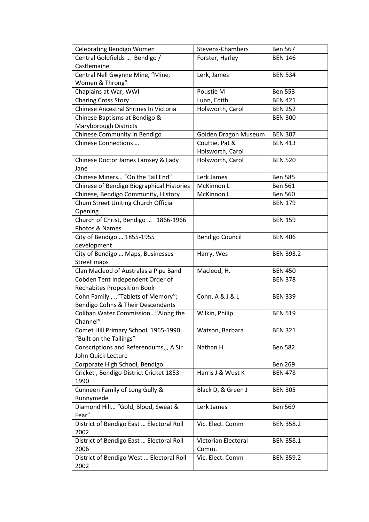| <b>Celebrating Bendigo Women</b>                 | <b>Stevens-Chambers</b> | <b>Ben 567</b>   |
|--------------------------------------------------|-------------------------|------------------|
| Central Goldfields  Bendigo /                    | Forster, Harley         | <b>BEN 146</b>   |
| Castlemaine                                      |                         |                  |
| Central Nell Gwynne Mine, "Mine,                 | Lerk, James             | <b>BEN 534</b>   |
| Women & Throng"                                  |                         |                  |
| Chaplains at War, WWI                            | Poustie M               | <b>Ben 553</b>   |
| <b>Charing Cross Story</b>                       | Lunn, Edith             | <b>BEN 421</b>   |
| Chinese Ancestral Shrines In Victoria            | Holsworth, Carol        | <b>BEN 252</b>   |
| Chinese Baptisms at Bendigo &                    |                         | <b>BEN 300</b>   |
| Maryborough Districts                            |                         |                  |
| Chinese Community in Bendigo                     | Golden Dragon Museum    | <b>BEN 307</b>   |
| Chinese Connections                              | Couttie, Pat &          | <b>BEN 413</b>   |
|                                                  | Holsworth, Carol        |                  |
| Chinese Doctor James Lamsey & Lady               | Holsworth, Carol        | <b>BEN 520</b>   |
| Jane                                             |                         |                  |
| Chinese Miners "On the Tail End"                 | Lerk James              | <b>Ben 585</b>   |
| Chinese of Bendigo Biographical Histories        | McKinnon L              | <b>Ben 561</b>   |
| Chinese, Bendigo Community, History              | McKinnon L              | <b>Ben 560</b>   |
| Chum Street Uniting Church Official              |                         | <b>BEN 179</b>   |
| Opening                                          |                         |                  |
| Church of Christ, Bendigo  1866-1966             |                         | <b>BEN 159</b>   |
| Photos & Names                                   |                         |                  |
| City of Bendigo  1855-1955                       | <b>Bendigo Council</b>  | <b>BEN 406</b>   |
| development                                      |                         |                  |
| City of Bendigo  Maps, Businesses                | Harry, Wes              | <b>BEN 393.2</b> |
| <b>Street maps</b>                               |                         |                  |
| Clan Macleod of Australasia Pipe Band            | Macleod, H.             | <b>BEN 450</b>   |
| Cobden Tent Independent Order of                 |                         | <b>BEN 378</b>   |
| <b>Rechabites Proposition Book</b>               |                         |                  |
| Cohn Family, "Tablets of Memory";                | Cohn, A & J & L         | <b>BEN 339</b>   |
| Bendigo Cohns & Their Descendants                |                         |                  |
| Coliban Water Commission "Along the              | Wilkin, Philip          | <b>BEN 519</b>   |
| Channel"                                         |                         |                  |
| Comet Hill Primary School, 1965-1990,            | Watson, Barbara         | <b>BEN 321</b>   |
| "Built on the Tailings"                          |                         |                  |
| Conscriptions and Referendums,,, A Sir           | Nathan H                | <b>Ben 582</b>   |
| John Quick Lecture                               |                         |                  |
| Corporate High School, Bendigo                   |                         | <b>Ben 269</b>   |
| Cricket, Bendigo District Cricket 1853 -<br>1990 | Harris J & Wust K       | <b>BEN 478</b>   |
| Cunneen Family of Long Gully &                   | Black D, & Green J      | <b>BEN 305</b>   |
| Runnymede                                        |                         |                  |
| Diamond Hill "Gold, Blood, Sweat &               | Lerk James              | <b>Ben 569</b>   |
| Fear"                                            |                         |                  |
| District of Bendigo East  Electoral Roll         | Vic. Elect. Comm        | <b>BEN 358.2</b> |
| 2002                                             |                         |                  |
| District of Bendigo East  Electoral Roll         | Victorian Electoral     | <b>BEN 358.1</b> |
| 2006                                             | Comm.                   |                  |
| District of Bendigo West  Electoral Roll         | Vic. Elect. Comm        | <b>BEN 359.2</b> |
| 2002                                             |                         |                  |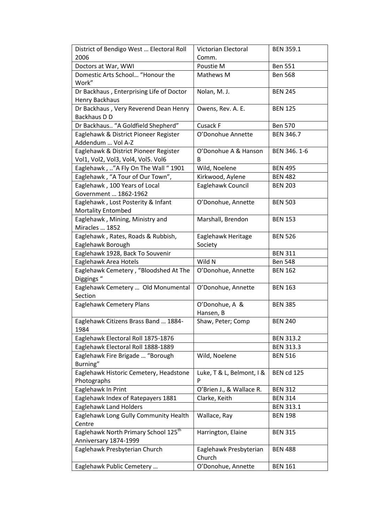| District of Bendigo West  Electoral Roll         | Victorian Electoral       | <b>BEN 359.1</b>  |
|--------------------------------------------------|---------------------------|-------------------|
| 2006                                             | Comm.                     |                   |
| Doctors at War, WWI                              | Poustie M                 | <b>Ben 551</b>    |
| Domestic Arts School "Honour the                 | Mathews M                 | <b>Ben 568</b>    |
| Work"                                            |                           |                   |
| Dr Backhaus, Enterprising Life of Doctor         | Nolan, M. J.              | <b>BEN 245</b>    |
| <b>Henry Backhaus</b>                            |                           |                   |
| Dr Backhaus, Very Reverend Dean Henry            | Owens, Rev. A. E.         | <b>BEN 125</b>    |
| Backhaus D D                                     |                           |                   |
| Dr Backhaus "A Goldfield Shepherd"               | Cusack F                  | <b>Ben 570</b>    |
| Eaglehawk & District Pioneer Register            | O'Donohue Annette         | <b>BEN 346.7</b>  |
| Addendum  Vol A-Z                                |                           |                   |
| Eaglehawk & District Pioneer Register            | O'Donohue A & Hanson      | BEN 346.1-6       |
| Vol1, Vol2, Vol3, Vol4, Vol5. Vol6               | B                         |                   |
| Eaglehawk, "A Fly On The Wall " 1901             | Wild, Noelene             | <b>BEN 495</b>    |
| Eaglehawk, "A Tour of Our Town",                 | Kirkwood, Aylene          | <b>BEN 482</b>    |
| Eaglehawk, 100 Years of Local                    | Eaglehawk Council         | <b>BEN 203</b>    |
| Government  1862-1962                            |                           |                   |
| Eaglehawk, Lost Posterity & Infant               | O'Donohue, Annette        | <b>BEN 503</b>    |
| <b>Mortality Entombed</b>                        |                           |                   |
| Eaglehawk, Mining, Ministry and                  | Marshall, Brendon         | <b>BEN 153</b>    |
| Miracles  1852                                   |                           |                   |
| Eaglehawk, Rates, Roads & Rubbish,               | Eaglehawk Heritage        | <b>BEN 526</b>    |
| Eaglehawk Borough                                | Society                   |                   |
| Eaglehawk 1928, Back To Souvenir                 |                           | <b>BEN 311</b>    |
| Eaglehawk Area Hotels                            | Wild N                    | <b>Ben 548</b>    |
| Eaglehawk Cemetery, "Bloodshed At The            | O'Donohue, Annette        | <b>BEN 162</b>    |
| Diggings "                                       |                           |                   |
| Eaglehawk Cemetery  Old Monumental<br>Section    | O'Donohue, Annette        | <b>BEN 163</b>    |
| Eaglehawk Cemetery Plans                         | O'Donohue, A &            | <b>BEN 385</b>    |
|                                                  | Hansen, B                 |                   |
| Eaglehawk Citizens Brass Band  1884-             | Shaw, Peter; Comp         | <b>BEN 240</b>    |
| 1984                                             |                           |                   |
| Eaglehawk Electoral Roll 1875-1876               |                           | <b>BEN 313.2</b>  |
| Eaglehawk Electoral Roll 1888-1889               |                           | <b>BEN 313.3</b>  |
| Eaglehawk Fire Brigade  "Borough                 | Wild, Noelene             | <b>BEN 516</b>    |
| Burning"                                         |                           |                   |
| Eaglehawk Historic Cemetery, Headstone           | Luke, T & L, Belmont, I & | <b>BEN cd 125</b> |
| Photographs                                      | P                         |                   |
| Eaglehawk In Print                               | O'Brien J., & Wallace R.  | <b>BEN 312</b>    |
| Eaglehawk Index of Ratepayers 1881               | Clarke, Keith             | <b>BEN 314</b>    |
| <b>Eaglehawk Land Holders</b>                    |                           | <b>BEN 313.1</b>  |
| Eaglehawk Long Gully Community Health            | Wallace, Ray              | <b>BEN 198</b>    |
| Centre                                           |                           |                   |
| Eaglehawk North Primary School 125 <sup>th</sup> | Harrington, Elaine        | <b>BEN 315</b>    |
| Anniversary 1874-1999                            |                           |                   |
| Eaglehawk Presbyterian Church                    | Eaglehawk Presbyterian    | <b>BEN 488</b>    |
|                                                  | Church                    |                   |
| Eaglehawk Public Cemetery                        | O'Donohue, Annette        | <b>BEN 161</b>    |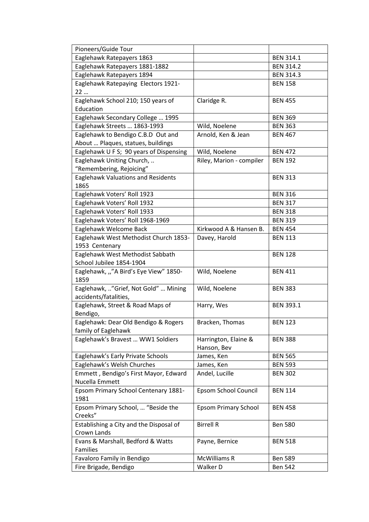| Pioneers/Guide Tour                                                           |                                     |                  |
|-------------------------------------------------------------------------------|-------------------------------------|------------------|
| Eaglehawk Ratepayers 1863                                                     |                                     | <b>BEN 314.1</b> |
| Eaglehawk Ratepayers 1881-1882                                                |                                     | <b>BEN 314.2</b> |
| Eaglehawk Ratepayers 1894                                                     |                                     | <b>BEN 314.3</b> |
| Eaglehawk Ratepaying Electors 1921-<br>22                                     |                                     | <b>BEN 158</b>   |
| Eaglehawk School 210; 150 years of<br>Education                               | Claridge R.                         | <b>BEN 455</b>   |
| Eaglehawk Secondary College  1995                                             |                                     | <b>BEN 369</b>   |
| Eaglehawk Streets  1863-1993                                                  | Wild, Noelene                       | <b>BEN 363</b>   |
| Eaglehawk to Bendigo C.B.D Out and                                            | Arnold, Ken & Jean                  | <b>BEN 467</b>   |
| About  Plaques, statues, buildings                                            |                                     |                  |
| Eaglehawk U F S; 90 years of Dispensing                                       | Wild, Noelene                       | <b>BEN 472</b>   |
| Eaglehawk Uniting Church,                                                     | Riley, Marion - compiler            | <b>BEN 192</b>   |
| "Remembering, Rejoicing"<br><b>Eaglehawk Valuations and Residents</b><br>1865 |                                     | <b>BEN 313</b>   |
| Eaglehawk Voters' Roll 1923                                                   |                                     | <b>BEN 316</b>   |
| Eaglehawk Voters' Roll 1932                                                   |                                     | <b>BEN 317</b>   |
| Eaglehawk Voters' Roll 1933                                                   |                                     | <b>BEN 318</b>   |
| Eaglehawk Voters' Roll 1968-1969                                              |                                     | <b>BEN 319</b>   |
| Eaglehawk Welcome Back                                                        | Kirkwood A & Hansen B.              | <b>BEN 454</b>   |
| Eaglehawk West Methodist Church 1853-<br>1953 Centenary                       | Davey, Harold                       | <b>BEN 113</b>   |
| Eaglehawk West Methodist Sabbath                                              |                                     | <b>BEN 128</b>   |
| School Jubilee 1854-1904                                                      |                                     |                  |
| Eaglehawk, ""A Bird's Eye View" 1850-<br>1859                                 | Wild, Noelene                       | <b>BEN 411</b>   |
| Eaglehawk, "Grief, Not Gold"  Mining<br>accidents/fatalities,                 | Wild, Noelene                       | <b>BEN 383</b>   |
| Eaglehawk, Street & Road Maps of<br>Bendigo,                                  | Harry, Wes                          | <b>BEN 393.1</b> |
| Eaglehawk: Dear Old Bendigo & Rogers<br>family of Eaglehawk                   | Bracken, Thomas                     | <b>BEN 123</b>   |
| Eaglehawk's Bravest  WW1 Soldiers                                             | Harrington, Elaine &<br>Hanson, Bev | <b>BEN 388</b>   |
| Eaglehawk's Early Private Schools                                             | James, Ken                          | <b>BEN 565</b>   |
| Eaglehawk's Welsh Churches                                                    | James, Ken                          | <b>BEN 593</b>   |
| Emmett, Bendigo's First Mayor, Edward<br>Nucella Emmett                       | Andel, Lucille                      | <b>BEN 302</b>   |
| Epsom Primary School Centenary 1881-<br>1981                                  | Epsom School Council                | <b>BEN 114</b>   |
| Epsom Primary School,  "Beside the<br>Creeks"                                 | <b>Epsom Primary School</b>         | <b>BEN 458</b>   |
| Establishing a City and the Disposal of<br>Crown Lands                        | <b>Birrell R</b>                    | <b>Ben 580</b>   |
| Evans & Marshall, Bedford & Watts                                             | Payne, Bernice                      | <b>BEN 518</b>   |
| Families                                                                      |                                     |                  |
| Favaloro Family in Bendigo                                                    | <b>McWilliams R</b>                 | <b>Ben 589</b>   |
| Fire Brigade, Bendigo                                                         | Walker D                            | <b>Ben 542</b>   |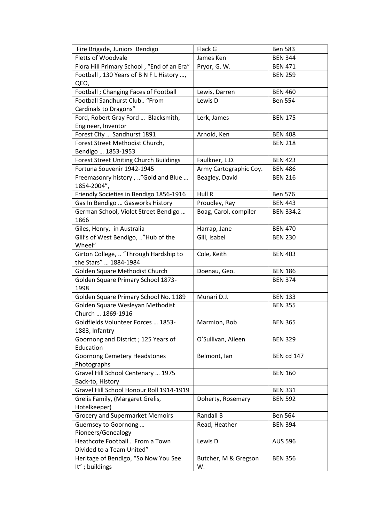| Fire Brigade, Juniors Bendigo                        | Flack G                | <b>Ben 583</b>    |
|------------------------------------------------------|------------------------|-------------------|
| Fletts of Woodvale                                   | James Ken              | <b>BEN 344</b>    |
| Flora Hill Primary School, "End of an Era"           | Pryor, G. W.           | <b>BEN 471</b>    |
| Football, 130 Years of B N F L History ,             |                        | <b>BEN 259</b>    |
| QEO,                                                 |                        |                   |
| Football ; Changing Faces of Football                | Lewis, Darren          | <b>BEN 460</b>    |
| Football Sandhurst Club "From                        | Lewis D                | <b>Ben 554</b>    |
| Cardinals to Dragons"                                |                        |                   |
| Ford, Robert Gray Ford  Blacksmith,                  | Lerk, James            | <b>BEN 175</b>    |
| Engineer, Inventor                                   |                        |                   |
| Forest City  Sandhurst 1891                          | Arnold, Ken            | <b>BEN 408</b>    |
| Forest Street Methodist Church,                      |                        | <b>BEN 218</b>    |
| Bendigo  1853-1953                                   |                        |                   |
| <b>Forest Street Uniting Church Buildings</b>        | Faulkner, L.D.         | <b>BEN 423</b>    |
| Fortuna Souvenir 1942-1945                           | Army Cartographic Coy. | <b>BEN 486</b>    |
| Freemasonry history, "Gold and Blue                  | Beagley, David         | <b>BEN 216</b>    |
| 1854-2004",                                          |                        |                   |
| Friendly Societies in Bendigo 1856-1916              | Hull R                 | <b>Ben 576</b>    |
| Gas In Bendigo  Gasworks History                     | Proudley, Ray          | <b>BEN 443</b>    |
| German School, Violet Street Bendigo                 | Boag, Carol, compiler  | <b>BEN 334.2</b>  |
| 1866                                                 |                        |                   |
| Giles, Henry, in Australia                           | Harrap, Jane           | <b>BEN 470</b>    |
| Gill's of West Bendigo, "Hub of the                  | Gill, Isabel           | <b>BEN 230</b>    |
| Wheel"                                               |                        |                   |
| Girton College,  "Through Hardship to                | Cole, Keith            | <b>BEN 403</b>    |
| the Stars"  1884-1984                                |                        |                   |
| Golden Square Methodist Church                       | Doenau, Geo.           | <b>BEN 186</b>    |
| Golden Square Primary School 1873-                   |                        | <b>BEN 374</b>    |
| 1998                                                 |                        |                   |
| Golden Square Primary School No. 1189                | Munari D.J.            | <b>BEN 133</b>    |
| Golden Square Wesleyan Methodist                     |                        | <b>BEN 355</b>    |
| Church  1869-1916                                    |                        |                   |
| Goldfields Volunteer Forces  1853-                   | Marmion, Bob           | <b>BEN 365</b>    |
| 1883, Infantry                                       |                        |                   |
| Goornong and District; 125 Years of                  | O'Sullivan, Aileen     | <b>BEN 329</b>    |
| Education                                            |                        |                   |
| <b>Goornong Cemetery Headstones</b>                  | Belmont, Ian           | <b>BEN cd 147</b> |
| Photographs                                          |                        |                   |
| Gravel Hill School Centenary  1975                   |                        | <b>BEN 160</b>    |
| Back-to, History                                     |                        |                   |
| Gravel Hill School Honour Roll 1914-1919             |                        | <b>BEN 331</b>    |
| Grelis Family, (Margaret Grelis,                     | Doherty, Rosemary      | <b>BEN 592</b>    |
| Hotelkeeper)                                         | Randall B              |                   |
| <b>Grocery and Supermarket Memoirs</b>               |                        | <b>Ben 564</b>    |
| Guernsey to Goornong                                 | Read, Heather          | <b>BEN 394</b>    |
| Pioneers/Genealogy<br>Heathcote Football From a Town | Lewis D                | <b>AUS 596</b>    |
| Divided to a Team United"                            |                        |                   |
| Heritage of Bendigo, "So Now You See                 | Butcher, M & Gregson   | <b>BEN 356</b>    |
| It"; buildings                                       | W.                     |                   |
|                                                      |                        |                   |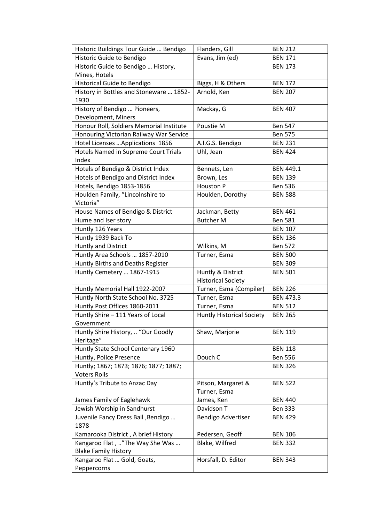| Historic Buildings Tour Guide  Bendigo     | Flanders, Gill                   | <b>BEN 212</b>   |
|--------------------------------------------|----------------------------------|------------------|
| Historic Guide to Bendigo                  | Evans, Jim (ed)                  | <b>BEN 171</b>   |
| Historic Guide to Bendigo  History,        |                                  | <b>BEN 173</b>   |
| Mines, Hotels                              |                                  |                  |
| Historical Guide to Bendigo                | Biggs, H & Others                | <b>BEN 172</b>   |
| History in Bottles and Stoneware  1852-    | Arnold, Ken                      | <b>BEN 207</b>   |
| 1930                                       |                                  |                  |
| History of Bendigo  Pioneers,              | Mackay, G                        | <b>BEN 407</b>   |
| Development, Miners                        |                                  |                  |
| Honour Roll, Soldiers Memorial Institute   | Poustie M                        | <b>Ben 547</b>   |
| Honouring Victorian Railway War Service    |                                  | <b>Ben 575</b>   |
| Hotel Licenses  Applications 1856          | A.I.G.S. Bendigo                 | <b>BEN 231</b>   |
| Hotels Named in Supreme Court Trials       | Uhl, Jean                        | <b>BEN 424</b>   |
| Index                                      |                                  |                  |
| Hotels of Bendigo & District Index         | Bennets, Len                     | <b>BEN 449.1</b> |
| Hotels of Bendigo and District Index       | Brown, Les                       | <b>BEN 139</b>   |
| Hotels, Bendigo 1853-1856                  | Houston P                        | <b>Ben 536</b>   |
| Houlden Family, "Lincolnshire to           | Houlden, Dorothy                 | <b>BEN 588</b>   |
| Victoria"                                  |                                  |                  |
| House Names of Bendigo & District          | Jackman, Betty                   | <b>BEN 461</b>   |
| Hume and Iser story                        | <b>Butcher M</b>                 | <b>Ben 581</b>   |
| Huntly 126 Years                           |                                  | <b>BEN 107</b>   |
| Huntly 1939 Back To                        |                                  | <b>BEN 136</b>   |
| <b>Huntly and District</b>                 | Wilkins, M                       | <b>Ben 572</b>   |
| Huntly Area Schools  1857-2010             | Turner, Esma                     | <b>BEN 500</b>   |
|                                            |                                  |                  |
| Huntly Births and Deaths Register          |                                  | <b>BEN 309</b>   |
| Huntly Cemetery  1867-1915                 | Huntly & District                | <b>BEN 501</b>   |
|                                            | <b>Historical Society</b>        |                  |
| Huntly Memorial Hall 1922-2007             | Turner, Esma (Compiler)          | <b>BEN 226</b>   |
| Huntly North State School No. 3725         | Turner, Esma                     | <b>BEN 473.3</b> |
| Huntly Post Offices 1860-2011              | Turner, Esma                     | <b>BEN 512</b>   |
| Huntly Shire - 111 Years of Local          | <b>Huntly Historical Society</b> | <b>BEN 265</b>   |
| Government                                 |                                  |                  |
| Huntly Shire History,  "Our Goodly         | Shaw, Marjorie                   | <b>BEN 119</b>   |
| Heritage"                                  |                                  |                  |
| Huntly State School Centenary 1960         |                                  | <b>BEN 118</b>   |
| Huntly, Police Presence                    | Douch C                          | <b>Ben 556</b>   |
| Huntly; 1867; 1873; 1876; 1877; 1887;      |                                  | <b>BEN 326</b>   |
| <b>Voters Rolls</b>                        |                                  |                  |
| Huntly's Tribute to Anzac Day              | Pitson, Margaret &               | <b>BEN 522</b>   |
|                                            | Turner, Esma                     |                  |
| James Family of Eaglehawk                  | James, Ken                       | <b>BEN 440</b>   |
| Jewish Worship in Sandhurst                | Davidson T                       | <b>Ben 333</b>   |
| Juvenile Fancy Dress Ball , Bendigo        | Bendigo Advertiser               | <b>BEN 429</b>   |
| 1878                                       |                                  |                  |
| Kamarooka District, A brief History        | Pedersen, Geoff                  | <b>BEN 106</b>   |
| Kangaroo Flat, "The Way She Was            | Blake, Wilfred                   | <b>BEN 332</b>   |
| <b>Blake Family History</b>                |                                  |                  |
| Kangaroo Flat  Gold, Goats,<br>Peppercorns | Horsfall, D. Editor              | <b>BEN 343</b>   |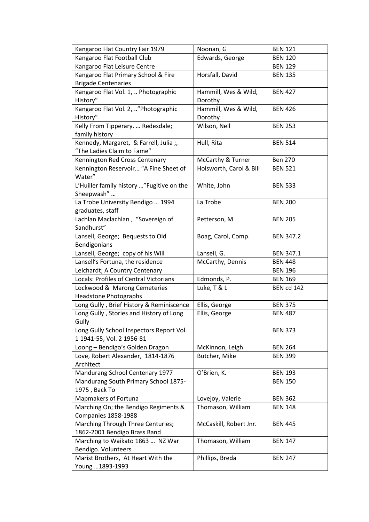| Kangaroo Flat Country Fair 1979           | Noonan, G               | <b>BEN 121</b>    |
|-------------------------------------------|-------------------------|-------------------|
| Kangaroo Flat Football Club               | Edwards, George         | <b>BEN 120</b>    |
| Kangaroo Flat Leisure Centre              |                         | <b>BEN 129</b>    |
| Kangaroo Flat Primary School & Fire       | Horsfall, David         | <b>BEN 135</b>    |
| <b>Brigade Centenaries</b>                |                         |                   |
| Kangaroo Flat Vol. 1,  Photographic       | Hammill, Wes & Wild,    | <b>BEN 427</b>    |
| History"                                  | Dorothy                 |                   |
| Kangaroo Flat Vol. 2, "Photographic       | Hammill, Wes & Wild,    | <b>BEN 426</b>    |
| History"                                  | Dorothy                 |                   |
| Kelly From Tipperary.  Redesdale;         | Wilson, Nell            | <b>BEN 253</b>    |
| family history                            |                         |                   |
| Kennedy, Margaret, & Farrell, Julia;      | Hull, Rita              | <b>BEN 514</b>    |
| "The Ladies Claim to Fame"                |                         |                   |
| Kennington Red Cross Centenary            | McCarthy & Turner       | <b>Ben 270</b>    |
| Kennington Reservoir "A Fine Sheet of     | Holsworth, Carol & Bill | <b>BEN 521</b>    |
| Water"                                    |                         |                   |
| L'Huiller family history "Fugitive on the | White, John             | <b>BEN 533</b>    |
| Sheepwash"                                |                         |                   |
| La Trobe University Bendigo  1994         | La Trobe                | <b>BEN 200</b>    |
| graduates, staff                          |                         |                   |
| Lachlan Maclachlan, "Sovereign of         | Petterson, M            | <b>BEN 205</b>    |
| Sandhurst"                                |                         |                   |
| Lansell, George; Bequests to Old          | Boag, Carol, Comp.      | <b>BEN 347.2</b>  |
| Bendigonians                              |                         |                   |
| Lansell, George; copy of his Will         | Lansell, G.             | <b>BEN 347.1</b>  |
| Lansell's Fortuna, the residence          | McCarthy, Dennis        | <b>BEN 448</b>    |
| Leichardt; A Country Centenary            |                         | <b>BEN 196</b>    |
| Locals: Profiles of Central Victorians    | Edmonds, P.             | <b>BEN 169</b>    |
| Lockwood & Marong Cemeteries              | Luke, T & L             | <b>BEN cd 142</b> |
| <b>Headstone Photographs</b>              |                         |                   |
| Long Gully, Brief History & Reminiscence  | Ellis, George           | <b>BEN 375</b>    |
| Long Gully, Stories and History of Long   | Ellis, George           | <b>BEN 487</b>    |
| Gully                                     |                         |                   |
| Long Gully School Inspectors Report Vol.  |                         | <b>BEN 373</b>    |
| 1 1941-55, Vol. 2 1956-81                 |                         |                   |
| Loong - Bendigo's Golden Dragon           | McKinnon, Leigh         | <b>BEN 264</b>    |
| Love, Robert Alexander, 1814-1876         | Butcher, Mike           | <b>BEN 399</b>    |
| Architect                                 |                         |                   |
| Mandurang School Centenary 1977           | O'Brien, K.             | <b>BEN 193</b>    |
| Mandurang South Primary School 1875-      |                         | <b>BEN 150</b>    |
| 1975, Back To                             |                         |                   |
| Mapmakers of Fortuna                      | Lovejoy, Valerie        | <b>BEN 362</b>    |
| Marching On; the Bendigo Regiments &      | Thomason, William       | <b>BEN 148</b>    |
| Companies 1858-1988                       |                         |                   |
| Marching Through Three Centuries;         | McCaskill, Robert Jnr.  | <b>BEN 445</b>    |
| 1862-2001 Bendigo Brass Band              |                         |                   |
| Marching to Waikato 1863  NZ War          | Thomason, William       | <b>BEN 147</b>    |
| Bendigo. Volunteers                       |                         |                   |
| Marist Brothers, At Heart With the        | Phillips, Breda         | <b>BEN 247</b>    |
| Young  1893-1993                          |                         |                   |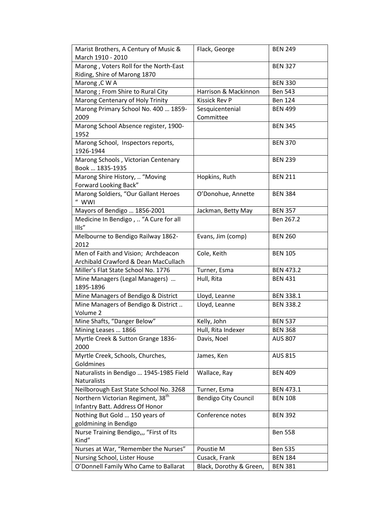| Marist Brothers, A Century of Music &<br>March 1910 - 2010                  | Flack, George                | <b>BEN 249</b>   |
|-----------------------------------------------------------------------------|------------------------------|------------------|
| Marong, Voters Roll for the North-East                                      |                              | <b>BEN 327</b>   |
| Riding, Shire of Marong 1870                                                |                              |                  |
| Marong, C W A                                                               |                              | <b>BEN 330</b>   |
| Marong ; From Shire to Rural City                                           | Harrison & Mackinnon         | <b>Ben 543</b>   |
| Marong Centenary of Holy Trinity                                            | Kissick Rev P                | <b>Ben 124</b>   |
| Marong Primary School No. 400  1859-<br>2009                                | Sesquicentenial<br>Committee | <b>BEN 499</b>   |
| Marong School Absence register, 1900-<br>1952                               |                              | <b>BEN 345</b>   |
| Marong School, Inspectors reports,<br>1926-1944                             |                              | <b>BEN 370</b>   |
| Marong Schools, Victorian Centenary<br>Book  1835-1935                      |                              | <b>BEN 239</b>   |
| Marong Shire History,  "Moving<br>Forward Looking Back"                     | Hopkins, Ruth                | <b>BEN 211</b>   |
| Marong Soldiers, "Our Gallant Heroes<br>" WWI                               | O'Donohue, Annette           | <b>BEN 384</b>   |
| Mayors of Bendigo  1856-2001                                                | Jackman, Betty May           | <b>BEN 357</b>   |
| Medicine In Bendigo,  "A Cure for all<br>Ills"                              |                              | Ben 267.2        |
| Melbourne to Bendigo Railway 1862-<br>2012                                  | Evans, Jim (comp)            | <b>BEN 260</b>   |
| Men of Faith and Vision; Archdeacon<br>Archibald Crawford & Dean MacCullach | Cole, Keith                  | <b>BEN 105</b>   |
| Miller's Flat State School No. 1776                                         | Turner, Esma                 | <b>BEN 473.2</b> |
| Mine Managers (Legal Managers)                                              | Hull, Rita                   | <b>BEN 431</b>   |
| 1895-1896                                                                   |                              |                  |
| Mine Managers of Bendigo & District                                         | Lloyd, Leanne                | <b>BEN 338.1</b> |
| Mine Managers of Bendigo & District<br>Volume 2                             | Lloyd, Leanne                | <b>BEN 338.2</b> |
| Mine Shafts, "Danger Below"                                                 | Kelly, John                  | <b>BEN 537</b>   |
| Mining Leases  1866                                                         | Hull, Rita Indexer           | <b>BEN 368</b>   |
| Myrtle Creek & Sutton Grange 1836-<br>2000                                  | Davis, Noel                  | <b>AUS 807</b>   |
| Myrtle Creek, Schools, Churches,<br>Goldmines                               | James, Ken                   | <b>AUS 815</b>   |
| Naturalists in Bendigo  1945-1985 Field<br>Naturalists                      | Wallace, Ray                 | <b>BEN 409</b>   |
| Neilborough East State School No. 3268                                      | Turner, Esma                 | <b>BEN 473.1</b> |
| Northern Victorian Regiment, 38 <sup>th</sup>                               | <b>Bendigo City Council</b>  | <b>BEN 108</b>   |
| Infantry Batt. Address Of Honor                                             |                              |                  |
| Nothing But Gold  150 years of                                              | Conference notes             | <b>BEN 392</b>   |
| goldmining in Bendigo                                                       |                              |                  |
| Nurse Training Bendigo,,, "First of Its                                     |                              | <b>Ben 558</b>   |
| Kind"                                                                       |                              |                  |
| Nurses at War, "Remember the Nurses"                                        | Poustie M                    | <b>Ben 535</b>   |
| Nursing School, Lister House                                                | Cusack, Frank                | <b>BEN 184</b>   |
| O'Donnell Family Who Came to Ballarat                                       | Black, Dorothy & Green,      | <b>BEN 381</b>   |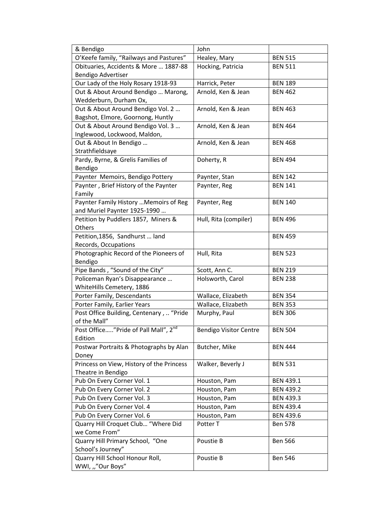| & Bendigo                                        | John                          |                  |
|--------------------------------------------------|-------------------------------|------------------|
| O'Keefe family, "Railways and Pastures"          | Healey, Mary                  | <b>BEN 515</b>   |
| Obituaries, Accidents & More  1887-88            | Hocking, Patricia             | <b>BEN 511</b>   |
| Bendigo Advertiser                               |                               |                  |
| Our Lady of the Holy Rosary 1918-93              | Harrick, Peter                | <b>BEN 189</b>   |
| Out & About Around Bendigo  Marong,              | Arnold, Ken & Jean            | <b>BEN 462</b>   |
| Wedderburn, Durham Ox,                           |                               |                  |
| Out & About Around Bendigo Vol. 2                | Arnold, Ken & Jean            | <b>BEN 463</b>   |
| Bagshot, Elmore, Goornong, Huntly                |                               |                  |
| Out & About Around Bendigo Vol. 3                | Arnold, Ken & Jean            | <b>BEN 464</b>   |
| Inglewood, Lockwood, Maldon,                     |                               |                  |
| Out & About In Bendigo                           | Arnold, Ken & Jean            | <b>BEN 468</b>   |
| Strathfieldsaye                                  |                               |                  |
| Pardy, Byrne, & Grelis Families of               | Doherty, R                    | <b>BEN 494</b>   |
| Bendigo                                          |                               |                  |
| Paynter Memoirs, Bendigo Pottery                 | Paynter, Stan                 | <b>BEN 142</b>   |
| Paynter, Brief History of the Paynter            | Paynter, Reg                  | <b>BEN 141</b>   |
| Family                                           |                               |                  |
| Paynter Family History  Memoirs of Reg           | Paynter, Reg                  | <b>BEN 140</b>   |
| and Muriel Paynter 1925-1990                     |                               |                  |
| Petition by Puddlers 1857, Miners &              | Hull, Rita (compiler)         | <b>BEN 496</b>   |
| Others                                           |                               |                  |
| Petition, 1856, Sandhurst  land                  |                               | <b>BEN 459</b>   |
| Records, Occupations                             |                               |                  |
| Photographic Record of the Pioneers of           | Hull, Rita                    | <b>BEN 523</b>   |
| Bendigo                                          |                               |                  |
| Pipe Bands, "Sound of the City"                  | Scott, Ann C.                 | <b>BEN 219</b>   |
| Policeman Ryan's Disappearance                   | Holsworth, Carol              | <b>BEN 238</b>   |
| WhiteHills Cemetery, 1886                        |                               |                  |
| Porter Family, Descendants                       | Wallace, Elizabeth            | <b>BEN 354</b>   |
| Porter Family, Earlier Years                     | Wallace, Elizabeth            | <b>BEN 353</b>   |
| Post Office Building, Centenary,  "Pride         | Murphy, Paul                  | <b>BEN 306</b>   |
| of the Mall"                                     |                               |                  |
| Post Office"Pride of Pall Mall", 2 <sup>nd</sup> | <b>Bendigo Visitor Centre</b> | <b>BEN 504</b>   |
| Edition                                          |                               |                  |
| Postwar Portraits & Photographs by Alan          | Butcher, Mike                 | <b>BEN 444</b>   |
| Doney                                            |                               |                  |
| Princess on View, History of the Princess        | Walker, Beverly J             | <b>BEN 531</b>   |
| Theatre in Bendigo                               |                               |                  |
| Pub On Every Corner Vol. 1                       | Houston, Pam                  | <b>BEN 439.1</b> |
| Pub On Every Corner Vol. 2                       | Houston, Pam                  | <b>BEN 439.2</b> |
| Pub On Every Corner Vol. 3                       | Houston, Pam                  | <b>BEN 439.3</b> |
| Pub On Every Corner Vol. 4                       | Houston, Pam                  | <b>BEN 439.4</b> |
| Pub On Every Corner Vol. 6                       | Houston, Pam                  | <b>BEN 439.6</b> |
| Quarry Hill Croquet Club "Where Did              | Potter T                      | <b>Ben 578</b>   |
| we Come From"                                    |                               |                  |
| Quarry Hill Primary School, "One                 | Poustie B                     | <b>Ben 566</b>   |
| School's Journey"                                |                               |                  |
| Quarry Hill School Honour Roll,                  | Poustie B                     | <b>Ben 546</b>   |
| WWI, ""Our Boys"                                 |                               |                  |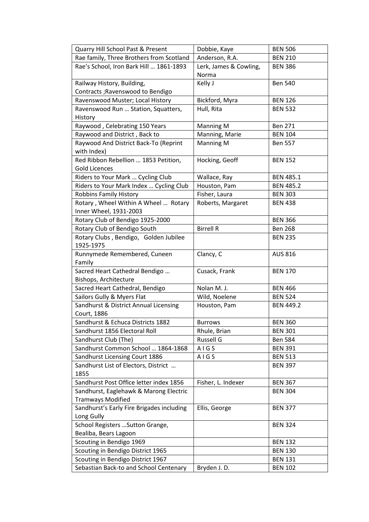| Quarry Hill School Past & Present         | Dobbie, Kaye           | <b>BEN 506</b>   |
|-------------------------------------------|------------------------|------------------|
| Rae family, Three Brothers from Scotland  | Anderson, R.A.         | <b>BEN 210</b>   |
| Rae's School, Iron Bark Hill  1861-1893   | Lerk, James & Cowling, | <b>BEN 386</b>   |
|                                           | Norma                  |                  |
| Railway History, Building,                | Kelly J                | <b>Ben 540</b>   |
| Contracts ; Ravenswood to Bendigo         |                        |                  |
| Ravenswood Muster; Local History          | Bickford, Myra         | <b>BEN 126</b>   |
| Ravenswood Run  Station, Squatters,       | Hull, Rita             | <b>BEN 532</b>   |
| History                                   |                        |                  |
| Raywood, Celebrating 150 Years            | <b>Manning M</b>       | <b>Ben 271</b>   |
| Raywood and District, Back to             | Manning, Marie         | <b>BEN 104</b>   |
| Raywood And District Back-To (Reprint     | Manning M              | <b>Ben 557</b>   |
| with Index)                               |                        |                  |
| Red Ribbon Rebellion  1853 Petition,      | Hocking, Geoff         | <b>BEN 152</b>   |
| <b>Gold Licences</b>                      |                        |                  |
| Riders to Your Mark  Cycling Club         | Wallace, Ray           | <b>BEN 485.1</b> |
| Riders to Your Mark Index  Cycling Club   | Houston, Pam           | <b>BEN 485.2</b> |
| Robbins Family History                    | Fisher, Laura          | <b>BEN 303</b>   |
| Rotary, Wheel Within A Wheel  Rotary      | Roberts, Margaret      | <b>BEN 438</b>   |
| Inner Wheel, 1931-2003                    |                        |                  |
| Rotary Club of Bendigo 1925-2000          |                        | <b>BEN 366</b>   |
| Rotary Club of Bendigo South              | <b>Birrell R</b>       | <b>Ben 268</b>   |
| Rotary Clubs, Bendigo, Golden Jubilee     |                        | <b>BEN 235</b>   |
| 1925-1975                                 |                        |                  |
| Runnymede Remembered, Cuneen              | Clancy, C              | <b>AUS 816</b>   |
| Family                                    |                        |                  |
| Sacred Heart Cathedral Bendigo            | Cusack, Frank          | <b>BEN 170</b>   |
| Bishops, Architecture                     |                        |                  |
| Sacred Heart Cathedral, Bendigo           | Nolan M. J.            | <b>BEN 466</b>   |
| Sailors Gully & Myers Flat                | Wild, Noelene          | <b>BEN 524</b>   |
| Sandhurst & District Annual Licensing     | Houston, Pam           | <b>BEN 449.2</b> |
| Court, 1886                               |                        |                  |
| Sandhurst & Echuca Districts 1882         | <b>Burrows</b>         | <b>BEN 360</b>   |
| Sandhurst 1856 Electoral Roll             | Rhule, Brian           | <b>BEN 301</b>   |
| Sandhurst Club (The)                      | <b>Russell G</b>       | <b>Ben 584</b>   |
| Sandhurst Common School  1864-1868        | AIGS                   | <b>BEN 391</b>   |
| Sandhurst Licensing Court 1886            | AIGS                   | <b>BEN 513</b>   |
| Sandhurst List of Electors, District      |                        | <b>BEN 397</b>   |
| 1855                                      |                        |                  |
| Sandhurst Post Office letter index 1856   | Fisher, L. Indexer     | <b>BEN 367</b>   |
| Sandhurst, Eaglehawk & Marong Electric    |                        | <b>BEN 304</b>   |
| <b>Tramways Modified</b>                  |                        |                  |
| Sandhurst's Early Fire Brigades including | Ellis, George          | <b>BEN 377</b>   |
| Long Gully                                |                        |                  |
| School Registers  Sutton Grange,          |                        | <b>BEN 324</b>   |
| Bealiba, Bears Lagoon                     |                        |                  |
| Scouting in Bendigo 1969                  |                        | <b>BEN 132</b>   |
| Scouting in Bendigo District 1965         |                        | <b>BEN 130</b>   |
| Scouting in Bendigo District 1967         |                        | <b>BEN 131</b>   |
| Sebastian Back-to and School Centenary    | Bryden J.D.            | <b>BEN 102</b>   |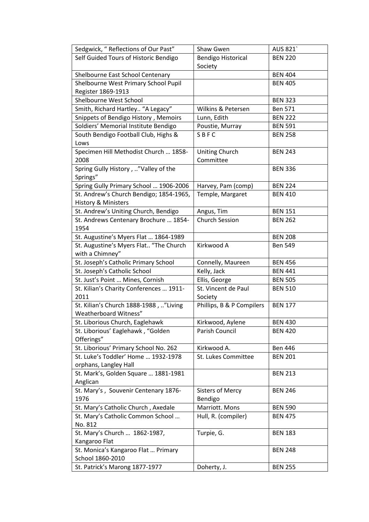| Sedgwick, "Reflections of Our Past"     | Shaw Gwen                 | AUS 821        |
|-----------------------------------------|---------------------------|----------------|
| Self Guided Tours of Historic Bendigo   | <b>Bendigo Historical</b> | <b>BEN 220</b> |
|                                         | Society                   |                |
| Shelbourne East School Centenary        |                           | <b>BEN 404</b> |
| Shelbourne West Primary School Pupil    |                           | <b>BEN 405</b> |
| Register 1869-1913                      |                           |                |
| Shelbourne West School                  |                           | <b>BEN 323</b> |
| Smith, Richard Hartley "A Legacy"       | Wilkins & Petersen        | <b>Ben 571</b> |
| Snippets of Bendigo History, Memoirs    | Lunn, Edith               | <b>BEN 222</b> |
| Soldiers' Memorial Institute Bendigo    | Poustie, Murray           | <b>BEN 591</b> |
| South Bendigo Football Club, Highs &    | SBFC                      | <b>BEN 258</b> |
| Lows                                    |                           |                |
| Specimen Hill Methodist Church  1858-   | <b>Uniting Church</b>     | <b>BEN 243</b> |
| 2008                                    | Committee                 |                |
| Spring Gully History, "Valley of the    |                           | <b>BEN 336</b> |
| Springs"                                |                           |                |
| Spring Gully Primary School  1906-2006  | Harvey, Pam (comp)        | <b>BEN 224</b> |
| St. Andrew's Church Bendigo; 1854-1965, | Temple, Margaret          | <b>BEN 410</b> |
| History & Ministers                     |                           |                |
| St. Andrew's Uniting Church, Bendigo    | Angus, Tim                | <b>BEN 151</b> |
| St. Andrews Centenary Brochure  1854-   | <b>Church Session</b>     | <b>BEN 262</b> |
| 1954                                    |                           |                |
| St. Augustine's Myers Flat  1864-1989   |                           | <b>BEN 208</b> |
| St. Augustine's Myers Flat "The Church  | Kirkwood A                | <b>Ben 549</b> |
| with a Chimney"                         |                           |                |
| St. Joseph's Catholic Primary School    | Connelly, Maureen         | <b>BEN 456</b> |
| St. Joseph's Catholic School            | Kelly, Jack               | <b>BEN 441</b> |
| St. Just's Point  Mines, Cornish        | Ellis, George             | <b>BEN 505</b> |
| St. Kilian's Charity Conferences  1911- | St. Vincent de Paul       | <b>BEN 510</b> |
| 2011                                    | Society                   |                |
| St. Kilian's Church 1888-1988, "Living  | Phillips, B & P Compilers | <b>BEN 177</b> |
| Weatherboard Witness"                   |                           |                |
| St. Liborious Church, Eaglehawk         | Kirkwood, Aylene          | <b>BEN 430</b> |
| St. Liborious' Eaglehawk, "Golden       | Parish Council            | <b>BEN 420</b> |
| Offerings"                              |                           |                |
| St. Liborious' Primary School No. 262   | Kirkwood A.               | <b>Ben 446</b> |
| St. Luke's Toddler' Home  1932-1978     | St. Lukes Committee       | <b>BEN 201</b> |
| orphans, Langley Hall                   |                           |                |
| St. Mark's, Golden Square  1881-1981    |                           | <b>BEN 213</b> |
| Anglican                                |                           |                |
| St. Mary's, Souvenir Centenary 1876-    | <b>Sisters of Mercy</b>   | <b>BEN 246</b> |
| 1976                                    | Bendigo                   |                |
| St. Mary's Catholic Church, Axedale     | Marriott. Mons            | <b>BEN 590</b> |
| St. Mary's Catholic Common School       | Hull, R. (compiler)       | <b>BEN 475</b> |
| No. 812                                 |                           |                |
| St. Mary's Church  1862-1987,           | Turpie, G.                | <b>BEN 183</b> |
| Kangaroo Flat                           |                           |                |
| St. Monica's Kangaroo Flat  Primary     |                           | <b>BEN 248</b> |
| School 1860-2010                        |                           |                |
| St. Patrick's Marong 1877-1977          | Doherty, J.               | <b>BEN 255</b> |
|                                         |                           |                |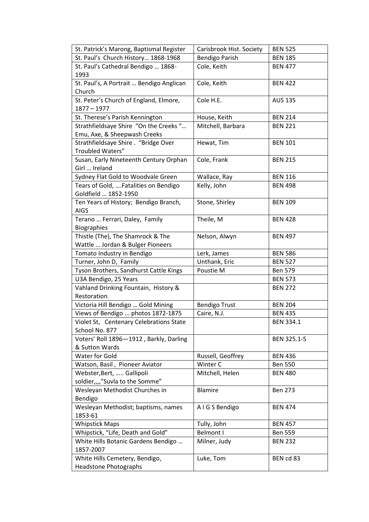| St. Patrick's Marong, Baptismal Register       | Carisbrook Hist. Society | <b>BEN 525</b>   |
|------------------------------------------------|--------------------------|------------------|
| St. Paul's Church History 1868-1968            | <b>Bendigo Parish</b>    | <b>BEN 185</b>   |
| St. Paul's Cathedral Bendigo  1868-            | Cole, Keith              | <b>BEN 477</b>   |
| 1993                                           |                          |                  |
| St. Paul's, A Portrait  Bendigo Anglican       | Cole, Keith              | <b>BEN 422</b>   |
| Church                                         |                          |                  |
| St. Peter's Church of England, Elmore,         | Cole H.E.                | <b>AUS 135</b>   |
| $1877 - 1977$                                  |                          |                  |
| St. Therese's Parish Kennington                | House, Keith             | <b>BEN 214</b>   |
| Strathfieldsaye Shire "On the Creeks"          | Mitchell, Barbara        | <b>BEN 221</b>   |
| Emu, Axe, & Sheepwash Creeks                   |                          |                  |
| Strathfieldsaye Shire . "Bridge Over           | Hewat, Tim               | <b>BEN 101</b>   |
| Troubled Waters"                               |                          |                  |
| Susan, Early Nineteenth Century Orphan         | Cole, Frank              | <b>BEN 215</b>   |
| Girl  Ireland                                  |                          |                  |
| Sydney Flat Gold to Woodvale Green             | Wallace, Ray             | <b>BEN 116</b>   |
| Tears of Gold,  Fatalities on Bendigo          | Kelly, John              | <b>BEN 498</b>   |
| Goldfield  1852-1950                           |                          |                  |
| Ten Years of History; Bendigo Branch,          | Stone, Shirley           | <b>BEN 109</b>   |
| <b>AIGS</b>                                    |                          |                  |
| Terano  Ferrari, Daley, Family                 | Theile, M                | <b>BEN 428</b>   |
| <b>Biographies</b>                             |                          |                  |
| Thistle (The), The Shamrock & The              | Nelson, Alwyn            | <b>BEN 497</b>   |
| Wattle  Jordan & Bulger Pioneers               |                          |                  |
| Tomato Industry in Bendigo                     | Lerk, James              | <b>BEN 586</b>   |
| Turner, John D, Family                         | Unthank, Eric            | <b>BEN 527</b>   |
| Tyson Brothers, Sandhurst Cattle Kings         | Poustie M                | <b>Ben 579</b>   |
| U3A Bendigo, 25 Years                          |                          | <b>BEN 573</b>   |
| Vahland Drinking Fountain, History &           |                          | <b>BEN 272</b>   |
| Restoration                                    |                          |                  |
| Victoria Hill Bendigo  Gold Mining             | <b>Bendigo Trust</b>     | <b>BEN 204</b>   |
| Views of Bendigo  photos 1872-1875             | Caire, N.J.              | <b>BEN 435</b>   |
| Violet St, Centenary Celebrations State        |                          | <b>BEN 334.1</b> |
| School No. 877                                 |                          |                  |
| Voters' Roll 1896-1912, Barkly, Darling        |                          | BEN 325.1-5      |
| & Sutton Wards                                 |                          |                  |
| Water for Gold                                 | Russell, Geoffrey        | <b>BEN 436</b>   |
| Watson, Basil, Pioneer Aviator                 | Winter C                 | <b>Ben 550</b>   |
| Webster, Bert,  Gallipoli                      | Mitchell, Helen          | <b>BEN 480</b>   |
| soldier,,,,"Suvla to the Somme"                |                          |                  |
| Wesleyan Methodist Churches in                 | <b>Blamire</b>           | <b>Ben 273</b>   |
| Bendigo                                        |                          |                  |
| Wesleyan Methodist; baptisms, names<br>1853-61 | A I G S Bendigo          | <b>BEN 474</b>   |
|                                                |                          |                  |
| <b>Whipstick Maps</b>                          | Tully, John              | <b>BEN 457</b>   |
| Whipstick, "Life, Death and Gold"              | Belmont I                | <b>Ben 559</b>   |
| White Hills Botanic Gardens Bendigo            | Milner, Judy             | <b>BEN 232</b>   |
| 1857-2007<br>White Hills Cemetery, Bendigo,    | Luke, Tom                | BEN cd 83        |
|                                                |                          |                  |
| <b>Headstone Photographs</b>                   |                          |                  |